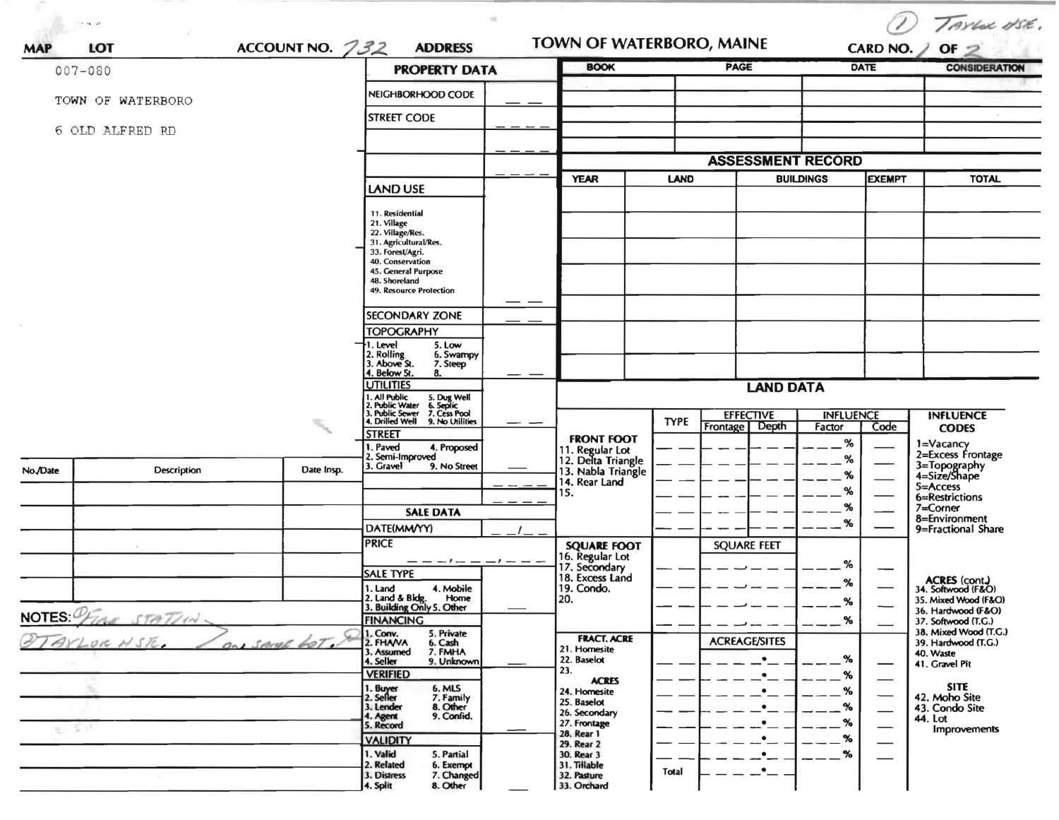| $\tau \rightarrow \infty$ , and        |             |                   |                                                                                                                                                                                                                                                                                                                                                                                                                                                                                                                                                              | 10                                    |                                                                                                                                                                                                                                                                          |             |                                                                                                             |                                                                |               | TAYLOR USE.                                                                                                                                                                                                                                                                 |
|----------------------------------------|-------------|-------------------|--------------------------------------------------------------------------------------------------------------------------------------------------------------------------------------------------------------------------------------------------------------------------------------------------------------------------------------------------------------------------------------------------------------------------------------------------------------------------------------------------------------------------------------------------------------|---------------------------------------|--------------------------------------------------------------------------------------------------------------------------------------------------------------------------------------------------------------------------------------------------------------------------|-------------|-------------------------------------------------------------------------------------------------------------|----------------------------------------------------------------|---------------|-----------------------------------------------------------------------------------------------------------------------------------------------------------------------------------------------------------------------------------------------------------------------------|
| LOT<br><b>MAP</b>                      |             | ACCOUNT NO. $732$ | <b>ADDRESS</b>                                                                                                                                                                                                                                                                                                                                                                                                                                                                                                                                               |                                       | TOWN OF WATERBORO, MAINE                                                                                                                                                                                                                                                 |             |                                                                                                             |                                                                |               | CARD NO. $\angle$ OF $\geq$                                                                                                                                                                                                                                                 |
| $007 - 080$                            |             |                   | <b>PROPERTY DATA</b>                                                                                                                                                                                                                                                                                                                                                                                                                                                                                                                                         |                                       | <b>BOOK</b>                                                                                                                                                                                                                                                              |             | <b>PAGE</b>                                                                                                 |                                                                | <b>DATE</b>   | <b>CONSIDERATION</b>                                                                                                                                                                                                                                                        |
| TOWN OF WATERBORO                      |             |                   | NEIGHBORHOOD CODE                                                                                                                                                                                                                                                                                                                                                                                                                                                                                                                                            |                                       |                                                                                                                                                                                                                                                                          |             |                                                                                                             |                                                                |               |                                                                                                                                                                                                                                                                             |
|                                        |             |                   | <b>STREET CODE</b>                                                                                                                                                                                                                                                                                                                                                                                                                                                                                                                                           |                                       |                                                                                                                                                                                                                                                                          |             |                                                                                                             |                                                                |               |                                                                                                                                                                                                                                                                             |
| 6 OLD ALFRED RD                        |             |                   |                                                                                                                                                                                                                                                                                                                                                                                                                                                                                                                                                              |                                       |                                                                                                                                                                                                                                                                          |             |                                                                                                             |                                                                |               |                                                                                                                                                                                                                                                                             |
|                                        |             |                   |                                                                                                                                                                                                                                                                                                                                                                                                                                                                                                                                                              |                                       |                                                                                                                                                                                                                                                                          |             | <b>ASSESSMENT RECORD</b>                                                                                    |                                                                |               |                                                                                                                                                                                                                                                                             |
|                                        |             |                   | <b>LAND USE</b>                                                                                                                                                                                                                                                                                                                                                                                                                                                                                                                                              |                                       | <b>YEAR</b>                                                                                                                                                                                                                                                              | <b>LAND</b> |                                                                                                             | <b>BUILDINGS</b>                                               | <b>EXEMPT</b> | <b>TOTAL</b>                                                                                                                                                                                                                                                                |
|                                        |             |                   | 11. Residential<br>21. Village<br>22. Village/Res.<br>31. Agricultural/Res.<br>33. Forest/Agri.<br>40. Conservation<br>45. General Purpose<br>48. Shoreland<br>49. Resource Protection<br>SECONDARY ZONE<br><b>TOPOGRAPHY</b><br>5. Low<br>1. Level<br>2. Rolling<br>3. Above St.<br>6. Swampy<br>7. Steep<br>4. Below St.<br>8.<br><b>UTILITIES</b><br>1. All Public<br>5. Dug Well<br>6. Septic<br>7. Cess Pool<br>2. Public Water<br>3. Public Sewer<br>4. Drilled Well<br>9. No Utilities<br><b>STREET</b><br>. Paved<br>4. Proposed<br>2. Semi-Improved |                                       | <b>FRONT FOOT</b><br>11. Regular Lot<br>12. Delta Triangle                                                                                                                                                                                                               | <b>TYPE</b> | <b>LAND DATA</b><br><b>EFFECTIVE</b><br>Frontage   Depth                                                    | <b>INFLUENCE</b><br>Factor<br>$\%$<br>%                        | Code          | <b>INFLUENCE</b><br><b>CODES</b><br>1=Vacancy<br>2=Excess Frontage                                                                                                                                                                                                          |
| No./Date                               | Description | Date Insp.        | 3. Gravel<br>9. No Street<br><b>SALE DATA</b>                                                                                                                                                                                                                                                                                                                                                                                                                                                                                                                |                                       | 13. Nabla Triangle<br>14. Rear Land<br>15.                                                                                                                                                                                                                               |             |                                                                                                             | %<br>%<br>%                                                    |               | 3=Topography<br>4=Size/Shape<br>5=Access<br>6=Restrictions<br>7=Corner                                                                                                                                                                                                      |
|                                        |             |                   | DATE(MM/YY)                                                                                                                                                                                                                                                                                                                                                                                                                                                                                                                                                  |                                       |                                                                                                                                                                                                                                                                          |             |                                                                                                             | %                                                              |               | 8=Environment<br>9=Fractional Share                                                                                                                                                                                                                                         |
| NOTES PEINE STATING<br>VLOR HSR.<br>安定 |             | ON SAME GOT       | <b>PRICE</b><br>$-1$ $-$<br><b>SALE TYPE</b><br>4. Mobile<br>1. Land<br>2. Land & Bldg. Home<br>3. Building Only 5. Other<br>Home<br><b>FINANCING</b><br>1. Conv.<br>5. Private<br>2. FHAVA<br>6. Cash<br>3. Assumed<br>7. FMHA<br>4. Seller<br>9. Unknown<br><b>VERIFIED</b><br>1. Buyer<br>2. Seller<br>6. MLS<br>7. Family<br>8. Other<br>3. Lender<br>9. Confid.<br>4. Agent<br>5. Record<br><b>VALIDITY</b>                                                                                                                                             | $-1 -$<br>$\overbrace{\hspace{25em}}$ | <b>SQUARE FOOT</b><br>16. Regular Lot<br>17. Secondary<br>18. Excess Land<br>19. Condo.<br>l 20.<br><b>FRACT. ACRE</b><br>21. Homesite<br>22. Baselot<br>23.<br><b>ACRES</b><br>24. Homesite<br>25. Baselot<br>26. Secondary<br>27. Frontage<br>28. Rear 1<br>29. Rear 2 |             | <b>SQUARE FEET</b><br><b>ACREAGE/SITES</b><br>$\bullet$<br>$\bullet$<br>$\bullet$<br>$\bullet$<br>$\bullet$ | %<br>℅<br>$\alpha$<br>%<br>$\%$<br>%<br>%<br>$\%$<br>$\%$<br>% |               | <b>ACRES</b> (cont.)<br>34. Softwood (F&O)<br>35. Mixed Wood (F&O)<br>36. Hardwood (F&O)<br>37. Softwood (T.G.)<br>38. Mixed Wood (T.G.)<br>39. Hardwood (T.G.)<br>40. Waste<br>41. Gravel Pit<br><b>SITE</b><br>42. Moho Site<br>43. Condo Site<br>44. Lot<br>Improvements |
|                                        |             |                   | 1. Valid<br>5. Partial<br>2. Related<br>6. Exempt<br>3. Distress<br>7. Changed<br>8. Other<br>4. Split                                                                                                                                                                                                                                                                                                                                                                                                                                                       |                                       | 30. Rear 3<br>31. Tillable<br>32. Pasture<br>33. Orchard                                                                                                                                                                                                                 | Total       | $\bullet$<br>$\bullet$                                                                                      | %                                                              |               |                                                                                                                                                                                                                                                                             |